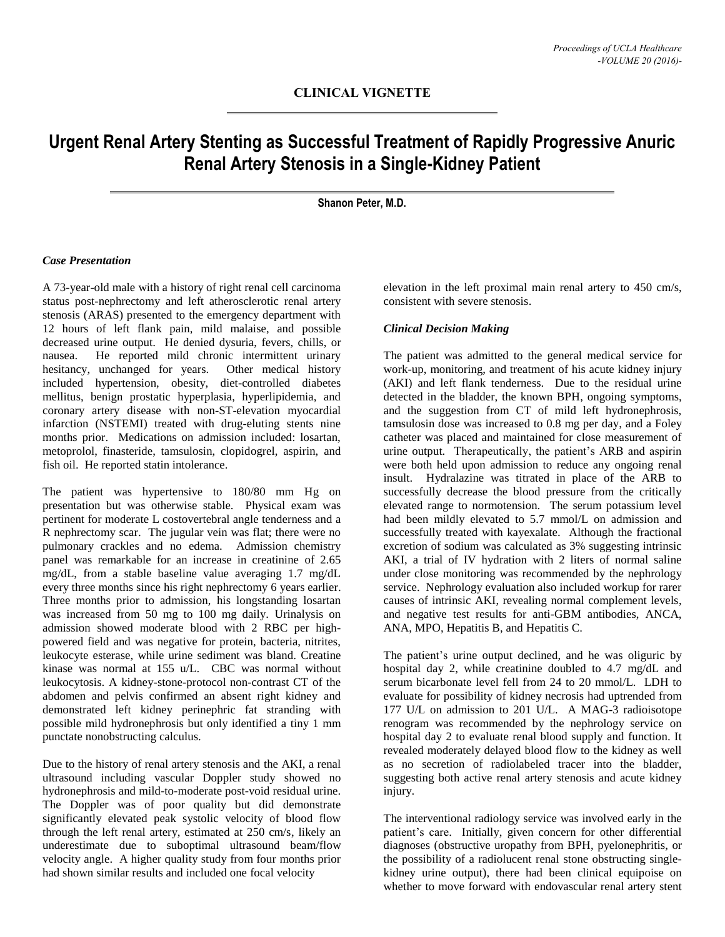# **Urgent Renal Artery Stenting as Successful Treatment of Rapidly Progressive Anuric Renal Artery Stenosis in a Single-Kidney Patient**

**Shanon Peter, M.D.**

### *Case Presentation*

A 73-year-old male with a history of right renal cell carcinoma status post-nephrectomy and left atherosclerotic renal artery stenosis (ARAS) presented to the emergency department with 12 hours of left flank pain, mild malaise, and possible decreased urine output. He denied dysuria, fevers, chills, or nausea. He reported mild chronic intermittent urinary hesitancy, unchanged for years. Other medical history included hypertension, obesity, diet-controlled diabetes mellitus, benign prostatic hyperplasia, hyperlipidemia, and coronary artery disease with non-ST-elevation myocardial infarction (NSTEMI) treated with drug-eluting stents nine months prior. Medications on admission included: losartan, metoprolol, finasteride, tamsulosin, clopidogrel, aspirin, and fish oil. He reported statin intolerance.

The patient was hypertensive to 180/80 mm Hg on presentation but was otherwise stable. Physical exam was pertinent for moderate L costovertebral angle tenderness and a R nephrectomy scar. The jugular vein was flat; there were no pulmonary crackles and no edema. Admission chemistry panel was remarkable for an increase in creatinine of 2.65 mg/dL, from a stable baseline value averaging 1.7 mg/dL every three months since his right nephrectomy 6 years earlier. Three months prior to admission, his longstanding losartan was increased from 50 mg to 100 mg daily. Urinalysis on admission showed moderate blood with 2 RBC per highpowered field and was negative for protein, bacteria, nitrites, leukocyte esterase, while urine sediment was bland. Creatine kinase was normal at 155 u/L. CBC was normal without leukocytosis. A kidney-stone-protocol non-contrast CT of the abdomen and pelvis confirmed an absent right kidney and demonstrated left kidney perinephric fat stranding with possible mild hydronephrosis but only identified a tiny 1 mm punctate nonobstructing calculus.

Due to the history of renal artery stenosis and the AKI, a renal ultrasound including vascular Doppler study showed no hydronephrosis and mild-to-moderate post-void residual urine. The Doppler was of poor quality but did demonstrate significantly elevated peak systolic velocity of blood flow through the left renal artery, estimated at 250 cm/s, likely an underestimate due to suboptimal ultrasound beam/flow velocity angle. A higher quality study from four months prior had shown similar results and included one focal velocity

elevation in the left proximal main renal artery to 450 cm/s, consistent with severe stenosis.

### *Clinical Decision Making*

The patient was admitted to the general medical service for work-up, monitoring, and treatment of his acute kidney injury (AKI) and left flank tenderness. Due to the residual urine detected in the bladder, the known BPH, ongoing symptoms, and the suggestion from CT of mild left hydronephrosis, tamsulosin dose was increased to 0.8 mg per day, and a Foley catheter was placed and maintained for close measurement of urine output. Therapeutically, the patient's ARB and aspirin were both held upon admission to reduce any ongoing renal insult. Hydralazine was titrated in place of the ARB to successfully decrease the blood pressure from the critically elevated range to normotension. The serum potassium level had been mildly elevated to 5.7 mmol/L on admission and successfully treated with kayexalate. Although the fractional excretion of sodium was calculated as 3% suggesting intrinsic AKI, a trial of IV hydration with 2 liters of normal saline under close monitoring was recommended by the nephrology service. Nephrology evaluation also included workup for rarer causes of intrinsic AKI, revealing normal complement levels, and negative test results for anti-GBM antibodies, ANCA, ANA, MPO, Hepatitis B, and Hepatitis C.

The patient's urine output declined, and he was oliguric by hospital day 2, while creatinine doubled to 4.7 mg/dL and serum bicarbonate level fell from 24 to 20 mmol/L. LDH to evaluate for possibility of kidney necrosis had uptrended from 177 U/L on admission to 201 U/L. A MAG-3 radioisotope renogram was recommended by the nephrology service on hospital day 2 to evaluate renal blood supply and function. It revealed moderately delayed blood flow to the kidney as well as no secretion of radiolabeled tracer into the bladder, suggesting both active renal artery stenosis and acute kidney injury.

The interventional radiology service was involved early in the patient's care. Initially, given concern for other differential diagnoses (obstructive uropathy from BPH, pyelonephritis, or the possibility of a radiolucent renal stone obstructing singlekidney urine output), there had been clinical equipoise on whether to move forward with endovascular renal artery stent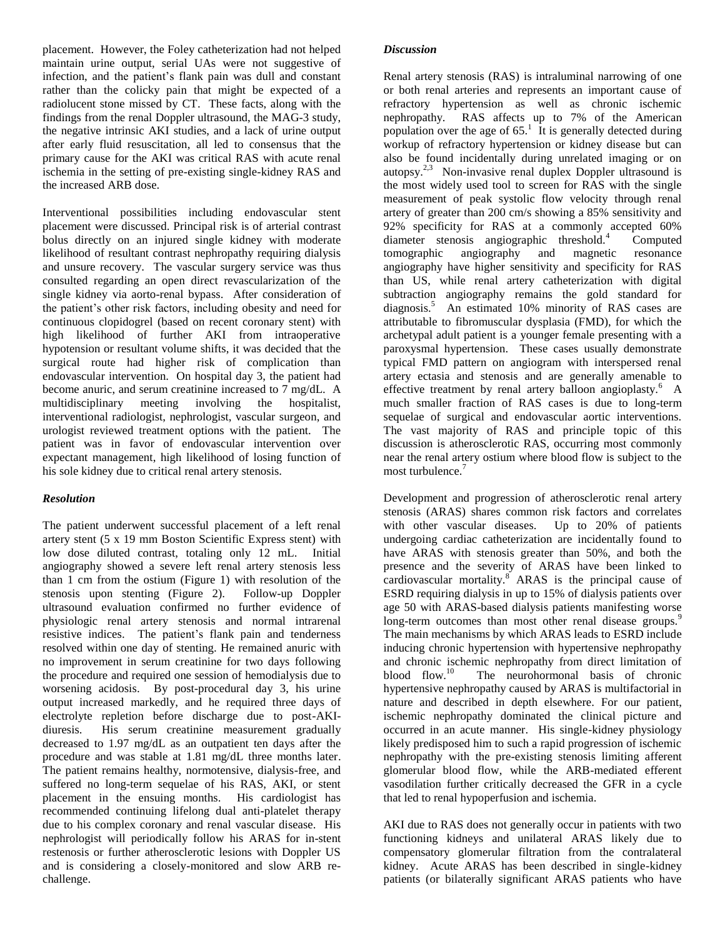placement. However, the Foley catheterization had not helped maintain urine output, serial UAs were not suggestive of infection, and the patient's flank pain was dull and constant rather than the colicky pain that might be expected of a radiolucent stone missed by CT. These facts, along with the findings from the renal Doppler ultrasound, the MAG-3 study, the negative intrinsic AKI studies, and a lack of urine output after early fluid resuscitation, all led to consensus that the primary cause for the AKI was critical RAS with acute renal ischemia in the setting of pre-existing single-kidney RAS and the increased ARB dose.

Interventional possibilities including endovascular stent placement were discussed. Principal risk is of arterial contrast bolus directly on an injured single kidney with moderate likelihood of resultant contrast nephropathy requiring dialysis and unsure recovery. The vascular surgery service was thus consulted regarding an open direct revascularization of the single kidney via aorto-renal bypass. After consideration of the patient's other risk factors, including obesity and need for continuous clopidogrel (based on recent coronary stent) with high likelihood of further AKI from intraoperative hypotension or resultant volume shifts, it was decided that the surgical route had higher risk of complication than endovascular intervention. On hospital day 3, the patient had become anuric, and serum creatinine increased to 7 mg/dL. A multidisciplinary meeting involving the hospitalist, interventional radiologist, nephrologist, vascular surgeon, and urologist reviewed treatment options with the patient. The patient was in favor of endovascular intervention over expectant management, high likelihood of losing function of his sole kidney due to critical renal artery stenosis.

## *Resolution*

The patient underwent successful placement of a left renal artery stent (5 x 19 mm Boston Scientific Express stent) with low dose diluted contrast, totaling only 12 mL. Initial angiography showed a severe left renal artery stenosis less than 1 cm from the ostium (Figure 1) with resolution of the stenosis upon stenting (Figure 2). Follow-up Doppler ultrasound evaluation confirmed no further evidence of physiologic renal artery stenosis and normal intrarenal resistive indices. The patient's flank pain and tenderness resolved within one day of stenting. He remained anuric with no improvement in serum creatinine for two days following the procedure and required one session of hemodialysis due to worsening acidosis. By post-procedural day 3, his urine output increased markedly, and he required three days of electrolyte repletion before discharge due to post-AKIdiuresis. His serum creatinine measurement gradually decreased to 1.97 mg/dL as an outpatient ten days after the procedure and was stable at 1.81 mg/dL three months later. The patient remains healthy, normotensive, dialysis-free, and suffered no long-term sequelae of his RAS, AKI, or stent placement in the ensuing months. His cardiologist has recommended continuing lifelong dual anti-platelet therapy due to his complex coronary and renal vascular disease. His nephrologist will periodically follow his ARAS for in-stent restenosis or further atherosclerotic lesions with Doppler US and is considering a closely-monitored and slow ARB rechallenge.

### *Discussion*

Renal artery stenosis (RAS) is intraluminal narrowing of one or both renal arteries and represents an important cause of refractory hypertension as well as chronic ischemic nephropathy. RAS affects up to 7% of the American population over the age of  $65<sup>1</sup>$ . It is generally detected during workup of refractory hypertension or kidney disease but can also be found incidentally during unrelated imaging or on autopsy.<sup>2,3</sup> Non-invasive renal duplex Doppler ultrasound is the most widely used tool to screen for RAS with the single measurement of peak systolic flow velocity through renal artery of greater than 200 cm/s showing a 85% sensitivity and 92% specificity for RAS at a commonly accepted 60% diameter stenosis angiographic threshold.<sup>4</sup> **Computed** tomographic angiography and magnetic resonance angiography have higher sensitivity and specificity for RAS than US, while renal artery catheterization with digital subtraction angiography remains the gold standard for diagnosis.<sup>5</sup> An estimated 10% minority of RAS cases are attributable to fibromuscular dysplasia (FMD), for which the archetypal adult patient is a younger female presenting with a paroxysmal hypertension. These cases usually demonstrate typical FMD pattern on angiogram with interspersed renal artery ectasia and stenosis and are generally amenable to effective treatment by renal artery balloon angioplasty.<sup>6</sup> A much smaller fraction of RAS cases is due to long-term sequelae of surgical and endovascular aortic interventions. The vast majority of RAS and principle topic of this discussion is atherosclerotic RAS, occurring most commonly near the renal artery ostium where blood flow is subject to the most turbulence.<sup>7</sup>

Development and progression of atherosclerotic renal artery stenosis (ARAS) shares common risk factors and correlates with other vascular diseases. Up to 20% of patients undergoing cardiac catheterization are incidentally found to have ARAS with stenosis greater than 50%, and both the presence and the severity of ARAS have been linked to cardiovascular mortality. $8^{\circ}$  ARAS is the principal cause of ESRD requiring dialysis in up to 15% of dialysis patients over age 50 with ARAS-based dialysis patients manifesting worse long-term outcomes than most other renal disease groups.<sup>9</sup> The main mechanisms by which ARAS leads to ESRD include inducing chronic hypertension with hypertensive nephropathy and chronic ischemic nephropathy from direct limitation of blood flow.<sup>10</sup> The neurohormonal basis of chronic hypertensive nephropathy caused by ARAS is multifactorial in nature and described in depth elsewhere. For our patient, ischemic nephropathy dominated the clinical picture and occurred in an acute manner. His single-kidney physiology likely predisposed him to such a rapid progression of ischemic nephropathy with the pre-existing stenosis limiting afferent glomerular blood flow, while the ARB-mediated efferent vasodilation further critically decreased the GFR in a cycle that led to renal hypoperfusion and ischemia.

AKI due to RAS does not generally occur in patients with two functioning kidneys and unilateral ARAS likely due to compensatory glomerular filtration from the contralateral kidney. Acute ARAS has been described in single-kidney patients (or bilaterally significant ARAS patients who have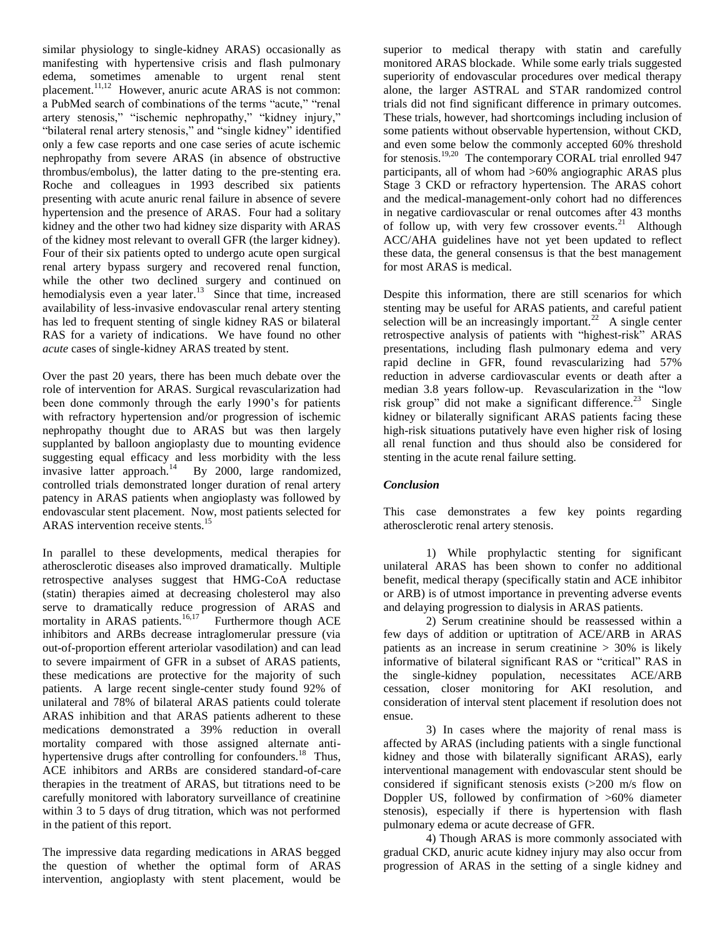similar physiology to single-kidney ARAS) occasionally as manifesting with hypertensive crisis and flash pulmonary edema, sometimes amenable to urgent renal stent placement.<sup>11,12</sup> However, anuric acute ARAS is not common: a PubMed search of combinations of the terms "acute," "renal artery stenosis," "ischemic nephropathy," "kidney injury," "bilateral renal artery stenosis," and "single kidney" identified only a few case reports and one case series of acute ischemic nephropathy from severe ARAS (in absence of obstructive thrombus/embolus), the latter dating to the pre-stenting era. Roche and colleagues in 1993 described six patients presenting with acute anuric renal failure in absence of severe hypertension and the presence of ARAS. Four had a solitary kidney and the other two had kidney size disparity with ARAS of the kidney most relevant to overall GFR (the larger kidney). Four of their six patients opted to undergo acute open surgical renal artery bypass surgery and recovered renal function, while the other two declined surgery and continued on hemodialysis even a year later.<sup>13</sup> Since that time, increased availability of less-invasive endovascular renal artery stenting has led to frequent stenting of single kidney RAS or bilateral RAS for a variety of indications. We have found no other *acute* cases of single-kidney ARAS treated by stent.

Over the past 20 years, there has been much debate over the role of intervention for ARAS. Surgical revascularization had been done commonly through the early 1990's for patients with refractory hypertension and/or progression of ischemic nephropathy thought due to ARAS but was then largely supplanted by balloon angioplasty due to mounting evidence suggesting equal efficacy and less morbidity with the less invasive latter approach.<sup>14</sup> By 2000, large randomized, controlled trials demonstrated longer duration of renal artery patency in ARAS patients when angioplasty was followed by endovascular stent placement. Now, most patients selected for ARAS intervention receive stents.<sup>15</sup>

In parallel to these developments, medical therapies for atherosclerotic diseases also improved dramatically. Multiple retrospective analyses suggest that HMG-CoA reductase (statin) therapies aimed at decreasing cholesterol may also serve to dramatically reduce progression of ARAS and mortality in ARAS patients.<sup>16,17</sup> Furthermore though ACE inhibitors and ARBs decrease intraglomerular pressure (via out-of-proportion efferent arteriolar vasodilation) and can lead to severe impairment of GFR in a subset of ARAS patients, these medications are protective for the majority of such patients. A large recent single-center study found 92% of unilateral and 78% of bilateral ARAS patients could tolerate ARAS inhibition and that ARAS patients adherent to these medications demonstrated a 39% reduction in overall mortality compared with those assigned alternate antihypertensive drugs after controlling for confounders.<sup>18</sup> Thus, ACE inhibitors and ARBs are considered standard-of-care therapies in the treatment of ARAS, but titrations need to be carefully monitored with laboratory surveillance of creatinine within 3 to 5 days of drug titration, which was not performed in the patient of this report.

The impressive data regarding medications in ARAS begged the question of whether the optimal form of ARAS intervention, angioplasty with stent placement, would be

superior to medical therapy with statin and carefully monitored ARAS blockade. While some early trials suggested superiority of endovascular procedures over medical therapy alone, the larger ASTRAL and STAR randomized control trials did not find significant difference in primary outcomes. These trials, however, had shortcomings including inclusion of some patients without observable hypertension, without CKD, and even some below the commonly accepted 60% threshold for stenosis.<sup>19,20</sup> The contemporary CORAL trial enrolled 947 participants, all of whom had >60% angiographic ARAS plus Stage 3 CKD or refractory hypertension. The ARAS cohort and the medical-management-only cohort had no differences in negative cardiovascular or renal outcomes after 43 months of follow up, with very few crossover events.<sup>21</sup> Although ACC/AHA guidelines have not yet been updated to reflect these data, the general consensus is that the best management for most ARAS is medical.

Despite this information, there are still scenarios for which stenting may be useful for ARAS patients, and careful patient selection will be an increasingly important.<sup>22</sup> A single center retrospective analysis of patients with "highest-risk" ARAS presentations, including flash pulmonary edema and very rapid decline in GFR, found revascularizing had 57% reduction in adverse cardiovascular events or death after a median 3.8 years follow-up. Revascularization in the "low risk group" did not make a significant difference.<sup>23</sup> Single kidney or bilaterally significant ARAS patients facing these high-risk situations putatively have even higher risk of losing all renal function and thus should also be considered for stenting in the acute renal failure setting.

## *Conclusion*

This case demonstrates a few key points regarding atherosclerotic renal artery stenosis.

1) While prophylactic stenting for significant unilateral ARAS has been shown to confer no additional benefit, medical therapy (specifically statin and ACE inhibitor or ARB) is of utmost importance in preventing adverse events and delaying progression to dialysis in ARAS patients.

2) Serum creatinine should be reassessed within a few days of addition or uptitration of ACE/ARB in ARAS patients as an increase in serum creatinine > 30% is likely informative of bilateral significant RAS or "critical" RAS in the single-kidney population, necessitates ACE/ARB cessation, closer monitoring for AKI resolution, and consideration of interval stent placement if resolution does not ensue.

3) In cases where the majority of renal mass is affected by ARAS (including patients with a single functional kidney and those with bilaterally significant ARAS), early interventional management with endovascular stent should be considered if significant stenosis exists (>200 m/s flow on Doppler US, followed by confirmation of >60% diameter stenosis), especially if there is hypertension with flash pulmonary edema or acute decrease of GFR.

4) Though ARAS is more commonly associated with gradual CKD, anuric acute kidney injury may also occur from progression of ARAS in the setting of a single kidney and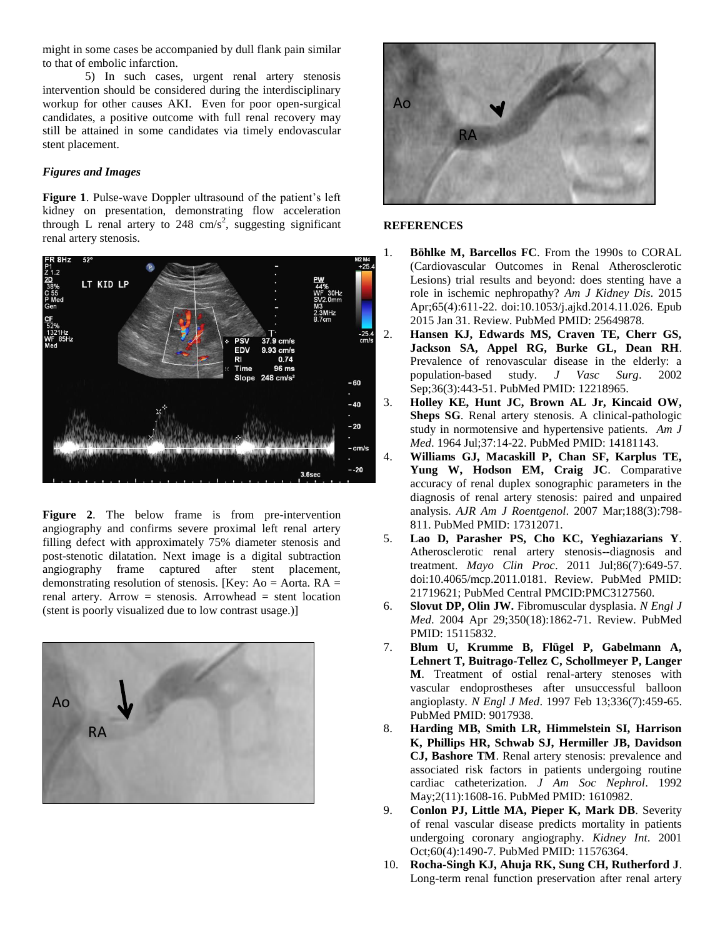might in some cases be accompanied by dull flank pain similar to that of embolic infarction.

5) In such cases, urgent renal artery stenosis intervention should be considered during the interdisciplinary workup for other causes AKI. Even for poor open-surgical candidates, a positive outcome with full renal recovery may still be attained in some candidates via timely endovascular stent placement.

### *Figures and Images*

**Figure 1**. Pulse-wave Doppler ultrasound of the patient's left kidney on presentation, demonstrating flow acceleration through L renal artery to 248 cm/s<sup>2</sup>, suggesting significant renal artery stenosis.



**Figure 2**. The below frame is from pre-intervention angiography and confirms severe proximal left renal artery filling defect with approximately 75% diameter stenosis and post-stenotic dilatation. Next image is a digital subtraction angiography frame captured after stent placement, demonstrating resolution of stenosis. [Key: Ao = Aorta.  $RA =$ renal artery. Arrow  $=$  stenosis. Arrowhead  $=$  stent location (stent is poorly visualized due to low contrast usage.)]





#### **REFERENCES**

- 1. **Böhlke M, Barcellos FC**. From the 1990s to CORAL (Cardiovascular Outcomes in Renal Atherosclerotic Lesions) trial results and beyond: does stenting have a role in ischemic nephropathy? *Am J Kidney Dis*. 2015 Apr;65(4):611-22. doi:10.1053/j.ajkd.2014.11.026. Epub 2015 Jan 31. Review. PubMed PMID: 25649878.
- 2. **Hansen KJ, Edwards MS, Craven TE, Cherr GS, Jackson SA, Appel RG, Burke GL, Dean RH**. Prevalence of renovascular disease in the elderly: a population-based study. *J Vasc Surg*. 2002 Sep;36(3):443-51. PubMed PMID: 12218965.
- 3. **Holley KE, Hunt JC, Brown AL Jr, Kincaid OW, Sheps SG.** Renal artery stenosis. A clinical-pathologic study in normotensive and hypertensive patients. *Am J Med*. 1964 Jul;37:14-22. PubMed PMID: 14181143.
- 4. **Williams GJ, Macaskill P, Chan SF, Karplus TE, Yung W, Hodson EM, Craig JC**. Comparative accuracy of renal duplex sonographic parameters in the diagnosis of renal artery stenosis: paired and unpaired analysis. *AJR Am J Roentgenol*. 2007 Mar;188(3):798- 811. PubMed PMID: 17312071.
- 5. **Lao D, Parasher PS, Cho KC, Yeghiazarians Y**. Atherosclerotic renal artery stenosis--diagnosis and treatment. *Mayo Clin Proc*. 2011 Jul;86(7):649-57. doi:10.4065/mcp.2011.0181. Review. PubMed PMID: 21719621; PubMed Central PMCID:PMC3127560.
- 6. **Slovut DP, Olin JW.** Fibromuscular dysplasia. *N Engl J Med*. 2004 Apr 29;350(18):1862-71. Review. PubMed PMID: 15115832.
- 7. **Blum U, Krumme B, Flügel P, Gabelmann A, Lehnert T, Buitrago-Tellez C, Schollmeyer P, Langer M**. Treatment of ostial renal-artery stenoses with vascular endoprostheses after unsuccessful balloon angioplasty. *N Engl J Med*. 1997 Feb 13;336(7):459-65. PubMed PMID: 9017938.
- 8. **Harding MB, Smith LR, Himmelstein SI, Harrison K, Phillips HR, Schwab SJ, Hermiller JB, Davidson CJ, Bashore TM**. Renal artery stenosis: prevalence and associated risk factors in patients undergoing routine cardiac catheterization. *J Am Soc Nephrol*. 1992 May;2(11):1608-16. PubMed PMID: 1610982.
- 9. **Conlon PJ, Little MA, Pieper K, Mark DB**. Severity of renal vascular disease predicts mortality in patients undergoing coronary angiography. *Kidney Int*. 2001 Oct;60(4):1490-7. PubMed PMID: 11576364.
- 10. **Rocha-Singh KJ, Ahuja RK, Sung CH, Rutherford J**. Long-term renal function preservation after renal artery